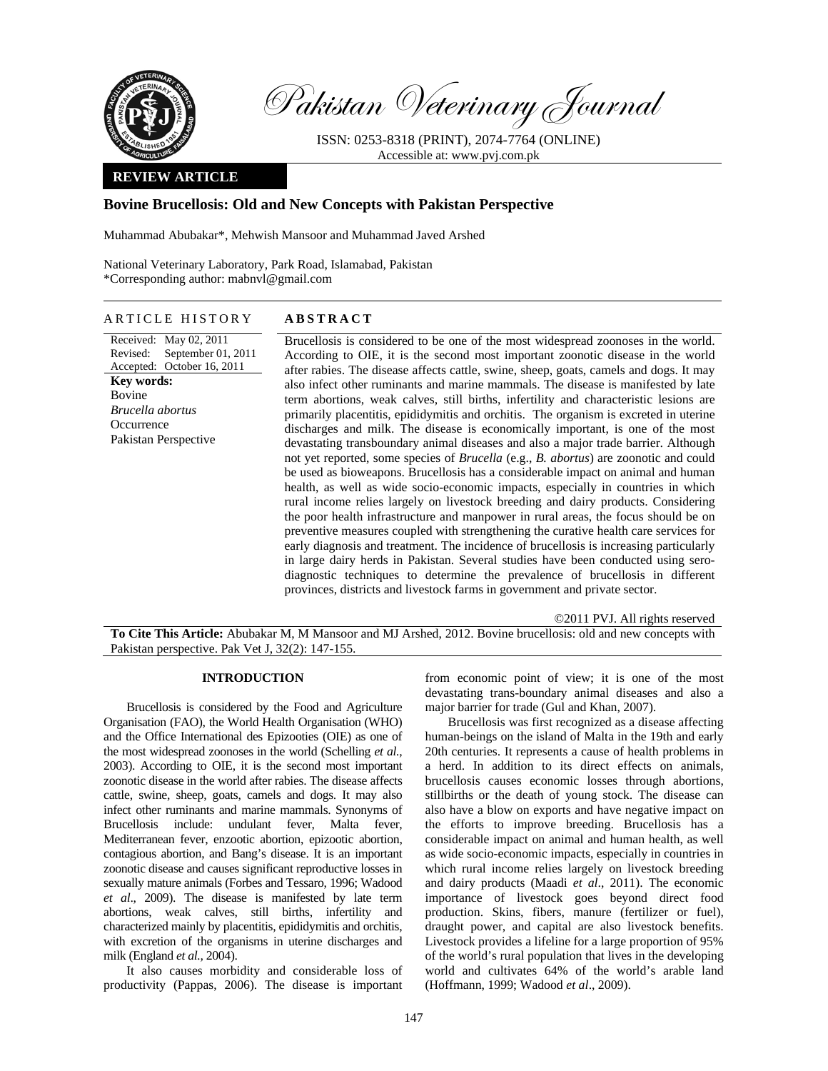

Pakistan Veterinary Journal

ISSN: 0253-8318 (PRINT), 2074-7764 (ONLINE) Accessible at: www.pvj.com.pk

## **REVIEW ARTICLE**

# **Bovine Brucellosis: Old and New Concepts with Pakistan Perspective**

Muhammad Abubakar\*, Mehwish Mansoor and Muhammad Javed Arshed

National Veterinary Laboratory, Park Road, Islamabad, Pakistan \*Corresponding author: mabnvl@gmail.com

# ARTICLE HISTORY **ABSTRACT**

Received: May 02, 2011 Revised: Accepted: October 16, 2011 September 01, 2011 **Key words:**  Bovine *Brucella abortus*  **Occurrence** Pakistan Perspective

Brucellosis is considered to be one of the most widespread zoonoses in the world. According to OIE, it is the second most important zoonotic disease in the world after rabies. The disease affects cattle, swine, sheep, goats, camels and dogs. It may also infect other ruminants and marine mammals. The disease is manifested by late term abortions, weak calves, still births, infertility and characteristic lesions are primarily placentitis, epididymitis and orchitis. The organism is excreted in uterine discharges and milk. The disease is economically important, is one of the most devastating transboundary animal diseases and also a major trade barrier. Although not yet reported, some species of *Brucella* (e.g., *B. abortus*) are zoonotic and could be used as bioweapons. Brucellosis has a considerable impact on animal and human health, as well as wide socio-economic impacts, especially in countries in which rural income relies largely on livestock breeding and dairy products. Considering the poor health infrastructure and manpower in rural areas, the focus should be on preventive measures coupled with strengthening the curative health care services for early diagnosis and treatment. The incidence of brucellosis is increasing particularly in large dairy herds in Pakistan. Several studies have been conducted using serodiagnostic techniques to determine the prevalence of brucellosis in different provinces, districts and livestock farms in government and private sector.

©2011 PVJ. All rights reserved **To Cite This Article:** Abubakar M, M Mansoor and MJ Arshed, 2012. Bovine brucellosis: old and new concepts with Pakistan perspective. Pak Vet J, 32(2): 147-155.

#### **INTRODUCTION**

Brucellosis is considered by the Food and Agriculture Organisation (FAO), the World Health Organisation (WHO) and the Office International des Epizooties (OIE) as one of the most widespread zoonoses in the world (Schelling *et al.,*  2003). According to OIE, it is the second most important zoonotic disease in the world after rabies. The disease affects cattle, swine, sheep, goats, camels and dogs. It may also infect other ruminants and marine mammals. Synonyms of Brucellosis include: undulant fever, Malta fever, Mediterranean fever, enzootic abortion, epizootic abortion, contagious abortion, and Bang's disease. It is an important zoonotic disease and causes significant reproductive losses in sexually mature animals (Forbes and Tessaro, 1996; Wadood *et al*., 2009). The disease is manifested by late term abortions, weak calves, still births, infertility and characterized mainly by placentitis, epididymitis and orchitis, with excretion of the organisms in uterine discharges and milk (England *et al.,* 2004).

It also causes morbidity and considerable loss of productivity (Pappas, 2006). The disease is important

from economic point of view; it is one of the most devastating trans-boundary animal diseases and also a major barrier for trade (Gul and Khan, 2007).

Brucellosis was first recognized as a disease affecting human-beings on the island of Malta in the 19th and early 20th centuries. It represents a cause of health problems in a herd. In addition to its direct effects on animals, brucellosis causes economic losses through abortions, stillbirths or the death of young stock. The disease can also have a blow on exports and have negative impact on the efforts to improve breeding. Brucellosis has a considerable impact on animal and human health, as well as wide socio-economic impacts, especially in countries in which rural income relies largely on livestock breeding and dairy products (Maadi *et al*., 2011). The economic importance of livestock goes beyond direct food production. Skins, fibers, manure (fertilizer or fuel), draught power, and capital are also livestock benefits. Livestock provides a lifeline for a large proportion of 95% of the world's rural population that lives in the developing world and cultivates 64% of the world's arable land (Hoffmann, 1999; Wadood *et al*., 2009).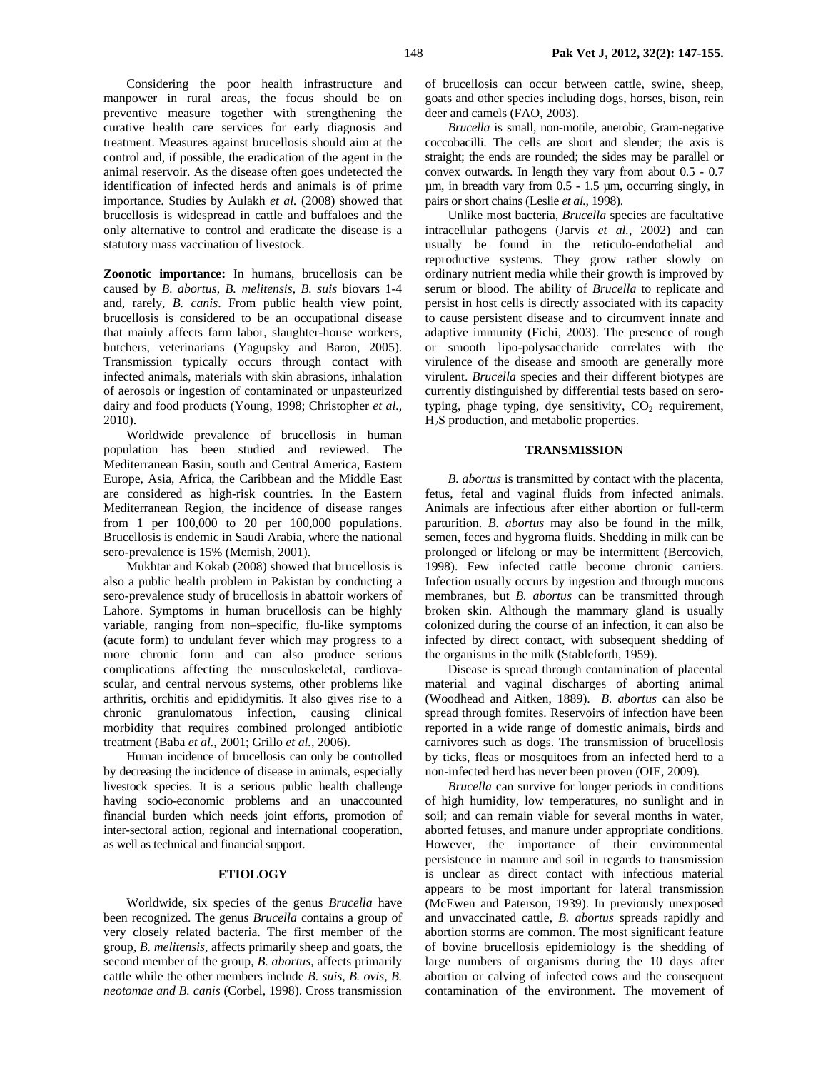Considering the poor health infrastructure and manpower in rural areas, the focus should be on preventive measure together with strengthening the curative health care services for early diagnosis and treatment. Measures against brucellosis should aim at the control and, if possible, the eradication of the agent in the animal reservoir. As the disease often goes undetected the identification of infected herds and animals is of prime importance. Studies by Aulakh *et al.* (2008) showed that brucellosis is widespread in cattle and buffaloes and the only alternative to control and eradicate the disease is a statutory mass vaccination of livestock.

**Zoonotic importance:** In humans, brucellosis can be caused by *B. abortus*, *B. melitensis*, *B. suis* biovars 1-4 and, rarely, *B. canis*. From public health view point, brucellosis is considered to be an occupational disease that mainly affects farm labor, slaughter-house workers, butchers, veterinarians (Yagupsky and Baron, 2005). Transmission typically occurs through contact with infected animals, materials with skin abrasions, inhalation of aerosols or ingestion of contaminated or unpasteurized dairy and food products (Young, 1998; Christopher *et al.,* 2010).

Worldwide prevalence of brucellosis in human population has been studied and reviewed. The Mediterranean Basin, south and Central America, Eastern Europe, Asia, Africa, the Caribbean and the Middle East are considered as high-risk countries. In the Eastern Mediterranean Region, the incidence of disease ranges from 1 per 100,000 to 20 per 100,000 populations. Brucellosis is endemic in Saudi Arabia, where the national sero-prevalence is 15% (Memish, 2001).

Mukhtar and Kokab (2008) showed that brucellosis is also a public health problem in Pakistan by conducting a sero-prevalence study of brucellosis in abattoir workers of Lahore. Symptoms in human brucellosis can be highly variable, ranging from non–specific, flu-like symptoms (acute form) to undulant fever which may progress to a more chronic form and can also produce serious complications affecting the musculoskeletal, cardiovascular, and central nervous systems, other problems like arthritis, orchitis and epididymitis. It also gives rise to a chronic granulomatous infection, causing clinical morbidity that requires combined prolonged antibiotic treatment (Baba *et al.,* 2001; Grillo *et al.,* 2006).

Human incidence of brucellosis can only be controlled by decreasing the incidence of disease in animals, especially livestock species. It is a serious public health challenge having socio-economic problems and an unaccounted financial burden which needs joint efforts, promotion of inter-sectoral action, regional and international cooperation, as well as technical and financial support.

### **ETIOLOGY**

Worldwide, six species of the genus *Brucella* have been recognized. The genus *Brucella* contains a group of very closely related bacteria. The first member of the group, *B. melitensis*, affects primarily sheep and goats, the second member of the group, *B. abortus*, affects primarily cattle while the other members include *B. suis*, *B. ovis*, *B. neotomae and B. canis* (Corbel, 1998). Cross transmission

of brucellosis can occur between cattle, swine, sheep, goats and other species including dogs, horses, bison, rein deer and camels (FAO, 2003).

*Brucella* is small, non-motile, anerobic, Gram-negative coccobacilli. The cells are short and slender; the axis is straight; the ends are rounded; the sides may be parallel or convex outwards. In length they vary from about 0.5 - 0.7  $\mu$ m, in breadth vary from 0.5 - 1.5  $\mu$ m, occurring singly, in pairs or short chains (Leslie *et al.,* 1998).

Unlike most bacteria, *Brucella* species are facultative intracellular pathogens (Jarvis *et al.,* 2002) and can usually be found in the reticulo-endothelial and reproductive systems. They grow rather slowly on ordinary nutrient media while their growth is improved by serum or blood. The ability of *Brucella* to replicate and persist in host cells is directly associated with its capacity to cause persistent disease and to circumvent innate and adaptive immunity (Fichi, 2003). The presence of rough or smooth lipo-polysaccharide correlates with the virulence of the disease and smooth are generally more virulent. *Brucella* species and their different biotypes are currently distinguished by differential tests based on serotyping, phage typing, dye sensitivity,  $CO<sub>2</sub>$  requirement, H2S production, and metabolic properties.

#### **TRANSMISSION**

*B. abortus* is transmitted by contact with the placenta, fetus, fetal and vaginal fluids from infected animals. Animals are infectious after either abortion or full-term parturition. *B. abortus* may also be found in the milk, semen, feces and hygroma fluids. Shedding in milk can be prolonged or lifelong or may be intermittent (Bercovich, 1998). Few infected cattle become chronic carriers. Infection usually occurs by ingestion and through mucous membranes, but *B. abortus* can be transmitted through broken skin. Although the mammary gland is usually colonized during the course of an infection, it can also be infected by direct contact, with subsequent shedding of the organisms in the milk (Stableforth, 1959).

Disease is spread through contamination of placental material and vaginal discharges of aborting animal (Woodhead and Aitken, 1889). *B. abortus* can also be spread through fomites. Reservoirs of infection have been reported in a wide range of domestic animals, birds and carnivores such as dogs. The transmission of brucellosis by ticks, fleas or mosquitoes from an infected herd to a non-infected herd has never been proven (OIE, 2009)*.*

*Brucella* can survive for longer periods in conditions of high humidity, low temperatures, no sunlight and in soil; and can remain viable for several months in water, aborted fetuses, and manure under appropriate conditions. However, the importance of their environmental persistence in manure and soil in regards to transmission is unclear as direct contact with infectious material appears to be most important for lateral transmission (McEwen and Paterson, 1939). In previously unexposed and unvaccinated cattle, *B. abortus* spreads rapidly and abortion storms are common. The most significant feature of bovine brucellosis epidemiology is the shedding of large numbers of organisms during the 10 days after abortion or calving of infected cows and the consequent contamination of the environment. The movement of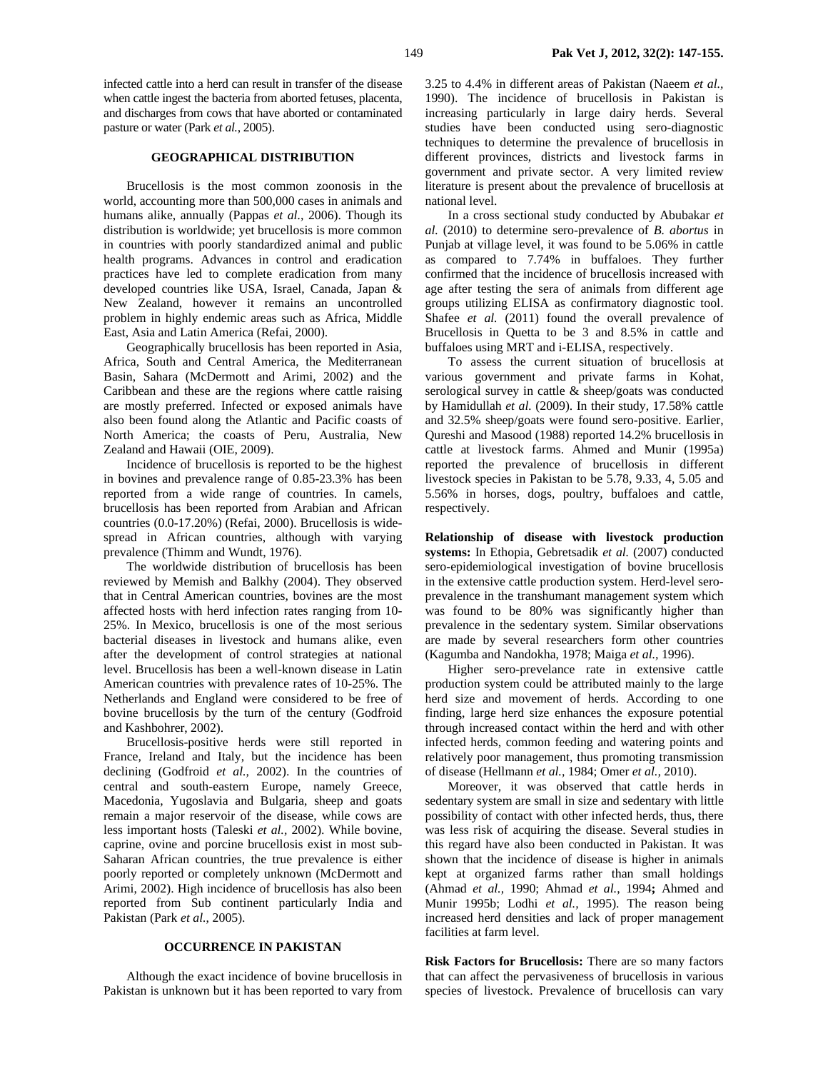infected cattle into a herd can result in transfer of the disease when cattle ingest the bacteria from aborted fetuses, placenta, and discharges from cows that have aborted or contaminated pasture or water (Park *et al.*, 2005).

## **GEOGRAPHICAL DISTRIBUTION**

Brucellosis is the most common zoonosis in the world, accounting more than 500,000 cases in animals and humans alike, annually (Pappas *et al.,* 2006). Though its distribution is worldwide; yet brucellosis is more common in countries with poorly standardized animal and public health programs. Advances in control and eradication practices have led to complete eradication from many developed countries like USA, Israel, Canada, Japan & New Zealand, however it remains an uncontrolled problem in highly endemic areas such as Africa, Middle East, Asia and Latin America (Refai, 2000).

Geographically brucellosis has been reported in Asia, Africa, South and Central America, the Mediterranean Basin, Sahara (McDermott and Arimi, 2002) and the Caribbean and these are the regions where cattle raising are mostly preferred. Infected or exposed animals have also been found along the Atlantic and Pacific coasts of North America; the coasts of Peru, Australia, New Zealand and Hawaii (OIE, 2009).

Incidence of brucellosis is reported to be the highest in bovines and prevalence range of 0.85-23.3% has been reported from a wide range of countries. In camels, brucellosis has been reported from Arabian and African countries (0.0-17.20%) (Refai, 2000). Brucellosis is widespread in African countries, although with varying prevalence (Thimm and Wundt, 1976).

The worldwide distribution of brucellosis has been reviewed by Memish and Balkhy (2004). They observed that in Central American countries, bovines are the most affected hosts with herd infection rates ranging from 10- 25%. In Mexico, brucellosis is one of the most serious bacterial diseases in livestock and humans alike, even after the development of control strategies at national level. Brucellosis has been a well-known disease in Latin American countries with prevalence rates of 10-25%. The Netherlands and England were considered to be free of bovine brucellosis by the turn of the century (Godfroid and Kashbohrer, 2002).

Brucellosis-positive herds were still reported in France, Ireland and Italy, but the incidence has been declining (Godfroid *et al.,* 2002). In the countries of central and south-eastern Europe, namely Greece, Macedonia, Yugoslavia and Bulgaria, sheep and goats remain a major reservoir of the disease, while cows are less important hosts (Taleski *et al.,* 2002). While bovine, caprine, ovine and porcine brucellosis exist in most sub-Saharan African countries, the true prevalence is either poorly reported or completely unknown (McDermott and Arimi, 2002). High incidence of brucellosis has also been reported from Sub continent particularly India and Pakistan (Park *et al.*, 2005).

# **OCCURRENCE IN PAKISTAN**

Although the exact incidence of bovine brucellosis in Pakistan is unknown but it has been reported to vary from 3.25 to 4.4% in different areas of Pakistan (Naeem *et al.,*  1990). The incidence of brucellosis in Pakistan is increasing particularly in large dairy herds. Several studies have been conducted using sero-diagnostic techniques to determine the prevalence of brucellosis in different provinces, districts and livestock farms in government and private sector. A very limited review literature is present about the prevalence of brucellosis at national level.

In a cross sectional study conducted by Abubakar *et al.* (2010) to determine sero-prevalence of *B. abortus* in Punjab at village level, it was found to be 5.06% in cattle as compared to 7.74% in buffaloes. They further confirmed that the incidence of brucellosis increased with age after testing the sera of animals from different age groups utilizing ELISA as confirmatory diagnostic tool. Shafee *et al.* (2011) found the overall prevalence of Brucellosis in Quetta to be 3 and 8.5% in cattle and buffaloes using MRT and i-ELISA, respectively.

To assess the current situation of brucellosis at various government and private farms in Kohat, serological survey in cattle & sheep/goats was conducted by Hamidullah *et al.* (2009). In their study, 17.58% cattle and 32.5% sheep/goats were found sero-positive. Earlier, Qureshi and Masood (1988) reported 14.2% brucellosis in cattle at livestock farms. Ahmed and Munir (1995a) reported the prevalence of brucellosis in different livestock species in Pakistan to be 5.78, 9.33, 4, 5.05 and 5.56% in horses, dogs, poultry, buffaloes and cattle, respectively.

**Relationship of disease with livestock production systems:** In Ethopia, Gebretsadik *et al.* (2007) conducted sero-epidemiological investigation of bovine brucellosis in the extensive cattle production system. Herd-level seroprevalence in the transhumant management system which was found to be 80% was significantly higher than prevalence in the sedentary system. Similar observations are made by several researchers form other countries (Kagumba and Nandokha, 1978; Maiga *et al.,* 1996).

Higher sero-prevelance rate in extensive cattle production system could be attributed mainly to the large herd size and movement of herds. According to one finding, large herd size enhances the exposure potential through increased contact within the herd and with other infected herds, common feeding and watering points and relatively poor management, thus promoting transmission of disease (Hellmann *et al.,* 1984; Omer *et al.,* 2010).

Moreover, it was observed that cattle herds in sedentary system are small in size and sedentary with little possibility of contact with other infected herds, thus, there was less risk of acquiring the disease. Several studies in this regard have also been conducted in Pakistan. It was shown that the incidence of disease is higher in animals kept at organized farms rather than small holdings (Ahmad *et al.,* 1990; Ahmad *et al.*, 1994**;** Ahmed and Munir 1995b; Lodhi *et al.,* 1995). The reason being increased herd densities and lack of proper management facilities at farm level.

**Risk Factors for Brucellosis:** There are so many factors that can affect the pervasiveness of brucellosis in various species of livestock. Prevalence of brucellosis can vary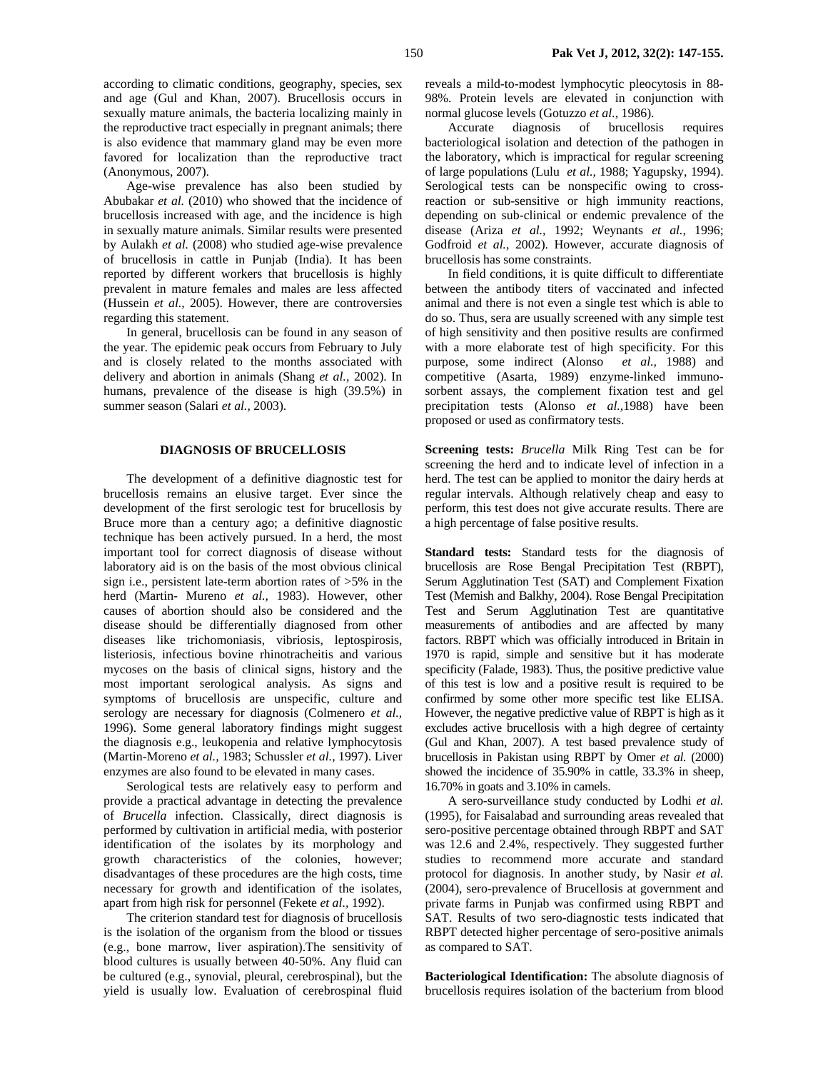according to climatic conditions, geography, species, sex and age (Gul and Khan, 2007). Brucellosis occurs in sexually mature animals, the bacteria localizing mainly in the reproductive tract especially in pregnant animals; there is also evidence that mammary gland may be even more favored for localization than the reproductive tract (Anonymous, 2007).

Age-wise prevalence has also been studied by Abubakar *et al.* (2010) who showed that the incidence of brucellosis increased with age, and the incidence is high in sexually mature animals. Similar results were presented by Aulakh *et al.* (2008) who studied age-wise prevalence of brucellosis in cattle in Punjab (India). It has been reported by different workers that brucellosis is highly prevalent in mature females and males are less affected (Hussein *et al.,* 2005). However, there are controversies regarding this statement.

In general, brucellosis can be found in any season of the year. The epidemic peak occurs from February to July and is closely related to the months associated with delivery and abortion in animals (Shang *et al.,* 2002). In humans, prevalence of the disease is high (39.5%) in summer season (Salari *et al.,* 2003).

## **DIAGNOSIS OF BRUCELLOSIS**

The development of a definitive diagnostic test for brucellosis remains an elusive target. Ever since the development of the first serologic test for brucellosis by Bruce more than a century ago; a definitive diagnostic technique has been actively pursued. In a herd, the most important tool for correct diagnosis of disease without laboratory aid is on the basis of the most obvious clinical sign i.e., persistent late-term abortion rates of >5% in the herd (Martin- Mureno *et al.,* 1983). However, other causes of abortion should also be considered and the disease should be differentially diagnosed from other diseases like trichomoniasis, vibriosis, leptospirosis, listeriosis, infectious bovine rhinotracheitis and various mycoses on the basis of clinical signs, history and the most important serological analysis. As signs and symptoms of brucellosis are unspecific, culture and serology are necessary for diagnosis (Colmenero *et al.,*  1996). Some general laboratory findings might suggest the diagnosis e.g., leukopenia and relative lymphocytosis (Martin-Moreno *et al.,* 1983; Schussler *et al.,* 1997). Liver enzymes are also found to be elevated in many cases.

Serological tests are relatively easy to perform and provide a practical advantage in detecting the prevalence of *Brucella* infection. Classically, direct diagnosis is performed by cultivation in artificial media, with posterior identification of the isolates by its morphology and growth characteristics of the colonies, however; disadvantages of these procedures are the high costs, time necessary for growth and identification of the isolates, apart from high risk for personnel (Fekete *et al.,* 1992).

The criterion standard test for diagnosis of brucellosis is the isolation of the organism from the blood or tissues (e.g., bone marrow, liver aspiration).The sensitivity of blood cultures is usually between 40-50%. Any fluid can be cultured (e.g., synovial, pleural, cerebrospinal), but the yield is usually low. Evaluation of cerebrospinal fluid

reveals a mild-to-modest lymphocytic pleocytosis in 88- 98%. Protein levels are elevated in conjunction with normal glucose levels (Gotuzzo *et al.,* 1986).

Accurate diagnosis of brucellosis requires bacteriological isolation and detection of the pathogen in the laboratory, which is impractical for regular screening of large populations (Lulu *et al.,* 1988; Yagupsky, 1994). Serological tests can be nonspecific owing to crossreaction or sub-sensitive or high immunity reactions, depending on sub-clinical or endemic prevalence of the disease (Ariza *et al.,* 1992; Weynants *et al.,* 1996; Godfroid *et al.,* 2002). However, accurate diagnosis of brucellosis has some constraints.

In field conditions, it is quite difficult to differentiate between the antibody titers of vaccinated and infected animal and there is not even a single test which is able to do so. Thus, sera are usually screened with any simple test of high sensitivity and then positive results are confirmed with a more elaborate test of high specificity. For this purpose, some indirect (Alonso *et al.,* 1988) and competitive (Asarta, 1989) enzyme-linked immunosorbent assays, the complement fixation test and gel precipitation tests (Alonso *et al.,*1988) have been proposed or used as confirmatory tests.

**Screening tests:** *Brucella* Milk Ring Test can be for screening the herd and to indicate level of infection in a herd. The test can be applied to monitor the dairy herds at regular intervals. Although relatively cheap and easy to perform, this test does not give accurate results. There are a high percentage of false positive results.

**Standard tests:** Standard tests for the diagnosis of brucellosis are Rose Bengal Precipitation Test (RBPT), Serum Agglutination Test (SAT) and Complement Fixation Test (Memish and Balkhy, 2004). Rose Bengal Precipitation Test and Serum Agglutination Test are quantitative measurements of antibodies and are affected by many factors. RBPT which was officially introduced in Britain in 1970 is rapid, simple and sensitive but it has moderate specificity (Falade, 1983). Thus, the positive predictive value of this test is low and a positive result is required to be confirmed by some other more specific test like ELISA. However, the negative predictive value of RBPT is high as it excludes active brucellosis with a high degree of certainty (Gul and Khan, 2007). A test based prevalence study of brucellosis in Pakistan using RBPT by Omer *et al.* (2000) showed the incidence of 35.90% in cattle, 33.3% in sheep, 16.70% in goats and 3.10% in camels.

A sero-surveillance study conducted by Lodhi *et al.*  (1995), for Faisalabad and surrounding areas revealed that sero-positive percentage obtained through RBPT and SAT was 12.6 and 2.4%, respectively. They suggested further studies to recommend more accurate and standard protocol for diagnosis. In another study, by Nasir *et al.* (2004), sero-prevalence of Brucellosis at government and private farms in Punjab was confirmed using RBPT and SAT. Results of two sero-diagnostic tests indicated that RBPT detected higher percentage of sero-positive animals as compared to SAT.

**Bacteriological Identification:** The absolute diagnosis of brucellosis requires isolation of the bacterium from blood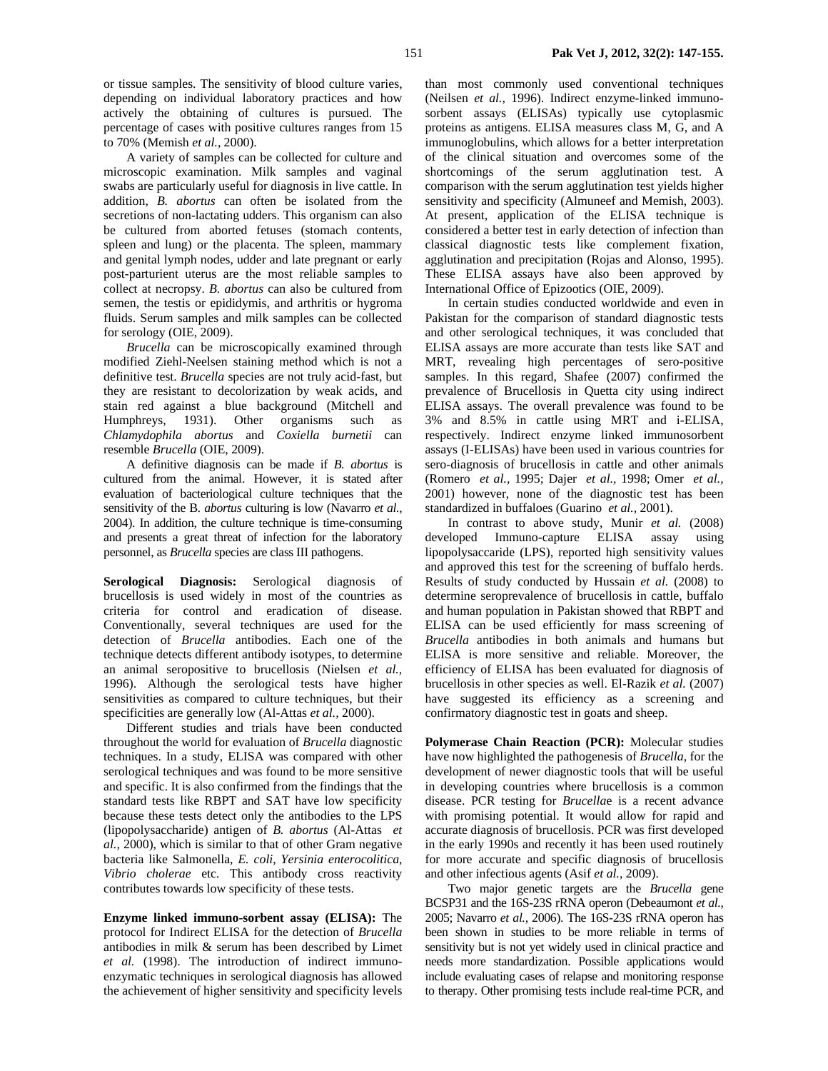or tissue samples. The sensitivity of blood culture varies, depending on individual laboratory practices and how actively the obtaining of cultures is pursued. The percentage of cases with positive cultures ranges from 15 to 70% (Memish *et al.,* 2000).

A variety of samples can be collected for culture and microscopic examination. Milk samples and vaginal swabs are particularly useful for diagnosis in live cattle. In addition, *B. abortus* can often be isolated from the secretions of non-lactating udders. This organism can also be cultured from aborted fetuses (stomach contents, spleen and lung) or the placenta. The spleen, mammary and genital lymph nodes, udder and late pregnant or early post-parturient uterus are the most reliable samples to collect at necropsy. *B. abortus* can also be cultured from semen, the testis or epididymis, and arthritis or hygroma fluids. Serum samples and milk samples can be collected for serology (OIE, 2009).

*Brucella* can be microscopically examined through modified Ziehl-Neelsen staining method which is not a definitive test. *Brucella* species are not truly acid-fast, but they are resistant to decolorization by weak acids, and stain red against a blue background (Mitchell and Humphreys, 1931). Other organisms such as *Chlamydophila abortus* and *Coxiella burnetii* can resemble *Brucella* (OIE, 2009).

A definitive diagnosis can be made if *B. abortus* is cultured from the animal. However, it is stated after evaluation of bacteriological culture techniques that the sensitivity of the B*. abortus* culturing is low (Navarro *et al.,*  2004). In addition, the culture technique is time-consuming and presents a great threat of infection for the laboratory personnel, as *Brucella* species are class III pathogens.

**Serological Diagnosis:** Serological diagnosis of brucellosis is used widely in most of the countries as criteria for control and eradication of disease. Conventionally, several techniques are used for the detection of *Brucella* antibodies. Each one of the technique detects different antibody isotypes, to determine an animal seropositive to brucellosis (Nielsen *et al.,*  1996). Although the serological tests have higher sensitivities as compared to culture techniques, but their specificities are generally low (Al-Attas *et al.,* 2000).

Different studies and trials have been conducted throughout the world for evaluation of *Brucella* diagnostic techniques. In a study, ELISA was compared with other serological techniques and was found to be more sensitive and specific. It is also confirmed from the findings that the standard tests like RBPT and SAT have low specificity because these tests detect only the antibodies to the LPS (lipopolysaccharide) antigen of *B. abortus* (Al-Attas *et al.,* 2000), which is similar to that of other Gram negative bacteria like Salmonella, *E. coli*, *Yersinia enterocolitica*, *Vibrio cholerae* etc. This antibody cross reactivity contributes towards low specificity of these tests.

**Enzyme linked immuno-sorbent assay (ELISA):** The protocol for Indirect ELISA for the detection of *Brucella* antibodies in milk & serum has been described by Limet *et al.* (1998). The introduction of indirect immunoenzymatic techniques in serological diagnosis has allowed the achievement of higher sensitivity and specificity levels

than most commonly used conventional techniques (Neilsen *et al.,* 1996). Indirect enzyme-linked immunosorbent assays (ELISAs) typically use cytoplasmic proteins as antigens. ELISA measures class M, G, and A immunoglobulins, which allows for a better interpretation of the clinical situation and overcomes some of the shortcomings of the serum agglutination test. A comparison with the serum agglutination test yields higher sensitivity and specificity (Almuneef and Memish, 2003). At present, application of the ELISA technique is considered a better test in early detection of infection than classical diagnostic tests like complement fixation, agglutination and precipitation (Rojas and Alonso, 1995). These ELISA assays have also been approved by International Office of Epizootics (OIE, 2009).

In certain studies conducted worldwide and even in Pakistan for the comparison of standard diagnostic tests and other serological techniques, it was concluded that ELISA assays are more accurate than tests like SAT and MRT, revealing high percentages of sero-positive samples. In this regard, Shafee (2007) confirmed the prevalence of Brucellosis in Quetta city using indirect ELISA assays. The overall prevalence was found to be 3% and 8.5% in cattle using MRT and i-ELISA, respectively. Indirect enzyme linked immunosorbent assays (I-ELISAs) have been used in various countries for sero-diagnosis of brucellosis in cattle and other animals (Romero *et al.,* 1995; Dajer *et al.,* 1998; Omer *et al.,*  2001) however, none of the diagnostic test has been standardized in buffaloes (Guarino *et al.,* 2001).

In contrast to above study, Munir *et al.* (2008) developed Immuno-capture ELISA assay using lipopolysaccaride (LPS), reported high sensitivity values and approved this test for the screening of buffalo herds. Results of study conducted by Hussain *et al.* (2008) to determine seroprevalence of brucellosis in cattle, buffalo and human population in Pakistan showed that RBPT and ELISA can be used efficiently for mass screening of *Brucella* antibodies in both animals and humans but ELISA is more sensitive and reliable. Moreover, the efficiency of ELISA has been evaluated for diagnosis of brucellosis in other species as well. El-Razik *et al.* (2007) have suggested its efficiency as a screening and confirmatory diagnostic test in goats and sheep.

**Polymerase Chain Reaction (PCR):** Molecular studies have now highlighted the pathogenesis of *Brucella*, for the development of newer diagnostic tools that will be useful in developing countries where brucellosis is a common disease. PCR testing for *Brucella*e is a recent advance with promising potential. It would allow for rapid and accurate diagnosis of brucellosis. PCR was first developed in the early 1990s and recently it has been used routinely for more accurate and specific diagnosis of brucellosis and other infectious agents (Asif *et al.,* 2009).

Two major genetic targets are the *Brucella* gene BCSP31 and the 16S-23S rRNA operon (Debeaumont *et al.,*  2005; Navarro *et al.,* 2006). The 16S-23S rRNA operon has been shown in studies to be more reliable in terms of sensitivity but is not yet widely used in clinical practice and needs more standardization. Possible applications would include evaluating cases of relapse and monitoring response to therapy. Other promising tests include real-time PCR, and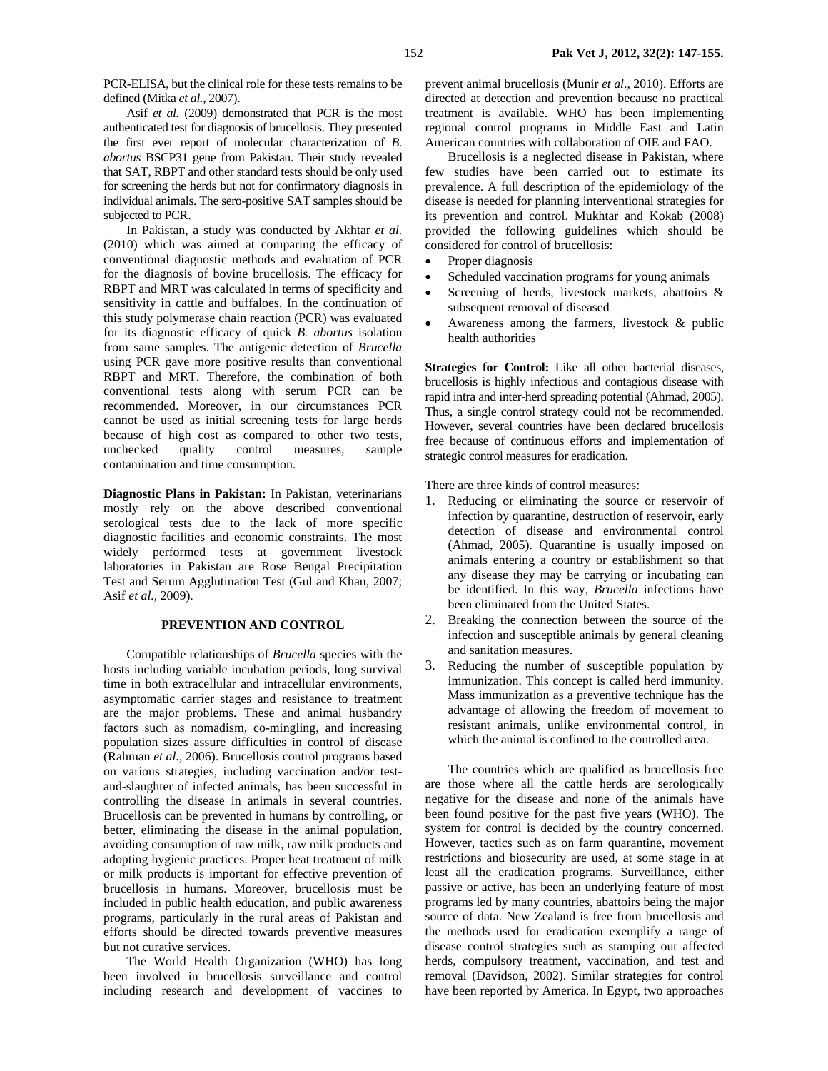PCR-ELISA, but the clinical role for these tests remains to be defined (Mitka *et al.,* 2007).

Asif *et al.* (2009) demonstrated that PCR is the most authenticated test for diagnosis of brucellosis. They presented the first ever report of molecular characterization of *B. abortus* BSCP31 gene from Pakistan. Their study revealed that SAT, RBPT and other standard tests should be only used for screening the herds but not for confirmatory diagnosis in individual animals. The sero-positive SAT samples should be subjected to PCR.

In Pakistan, a study was conducted by Akhtar *et al.* (2010) which was aimed at comparing the efficacy of conventional diagnostic methods and evaluation of PCR for the diagnosis of bovine brucellosis. The efficacy for RBPT and MRT was calculated in terms of specificity and sensitivity in cattle and buffaloes. In the continuation of this study polymerase chain reaction (PCR) was evaluated for its diagnostic efficacy of quick *B. abortus* isolation from same samples. The antigenic detection of *Brucella* using PCR gave more positive results than conventional RBPT and MRT. Therefore, the combination of both conventional tests along with serum PCR can be recommended. Moreover, in our circumstances PCR cannot be used as initial screening tests for large herds because of high cost as compared to other two tests, unchecked quality control measures, sample contamination and time consumption.

**Diagnostic Plans in Pakistan:** In Pakistan, veterinarians mostly rely on the above described conventional serological tests due to the lack of more specific diagnostic facilities and economic constraints. The most widely performed tests at government livestock laboratories in Pakistan are Rose Bengal Precipitation Test and Serum Agglutination Test (Gul and Khan, 2007; Asif *et al.,* 2009).

# **PREVENTION AND CONTROL**

Compatible relationships of *Brucella* species with the hosts including variable incubation periods, long survival time in both extracellular and intracellular environments, asymptomatic carrier stages and resistance to treatment are the major problems. These and animal husbandry factors such as nomadism, co-mingling, and increasing population sizes assure difficulties in control of disease (Rahman *et al.,* 2006). Brucellosis control programs based on various strategies, including vaccination and/or testand-slaughter of infected animals, has been successful in controlling the disease in animals in several countries. Brucellosis can be prevented in humans by controlling, or better, eliminating the disease in the animal population, avoiding consumption of raw milk, raw milk products and adopting hygienic practices. Proper heat treatment of milk or milk products is important for effective prevention of brucellosis in humans. Moreover, brucellosis must be included in public health education, and public awareness programs, particularly in the rural areas of Pakistan and efforts should be directed towards preventive measures but not curative services.

The World Health Organization (WHO) has long been involved in brucellosis surveillance and control including research and development of vaccines to

prevent animal brucellosis (Munir *et al*., 2010). Efforts are directed at detection and prevention because no practical treatment is available. WHO has been implementing regional control programs in Middle East and Latin American countries with collaboration of OIE and FAO.

Brucellosis is a neglected disease in Pakistan, where few studies have been carried out to estimate its prevalence. A full description of the epidemiology of the disease is needed for planning interventional strategies for its prevention and control. Mukhtar and Kokab (2008) provided the following guidelines which should be considered for control of brucellosis:

- Proper diagnosis
- Scheduled vaccination programs for young animals
- Screening of herds, livestock markets, abattoirs & subsequent removal of diseased
- Awareness among the farmers, livestock & public health authorities

**Strategies for Control:** Like all other bacterial diseases, brucellosis is highly infectious and contagious disease with rapid intra and inter-herd spreading potential (Ahmad, 2005). Thus, a single control strategy could not be recommended. However, several countries have been declared brucellosis free because of continuous efforts and implementation of strategic control measures for eradication.

There are three kinds of control measures:

- 1. Reducing or eliminating the source or reservoir of infection by quarantine, destruction of reservoir, early detection of disease and environmental control (Ahmad, 2005). Quarantine is usually imposed on animals entering a country or establishment so that any disease they may be carrying or incubating can be identified. In this way, *Brucella* infections have been eliminated from the United States.
- 2. Breaking the connection between the source of the infection and susceptible animals by general cleaning and sanitation measures.
- 3. Reducing the number of susceptible population by immunization. This concept is called herd immunity. Mass immunization as a preventive technique has the advantage of allowing the freedom of movement to resistant animals, unlike environmental control, in which the animal is confined to the controlled area.

The countries which are qualified as brucellosis free are those where all the cattle herds are serologically negative for the disease and none of the animals have been found positive for the past five years (WHO). The system for control is decided by the country concerned. However, tactics such as on farm quarantine, movement restrictions and biosecurity are used, at some stage in at least all the eradication programs. Surveillance, either passive or active, has been an underlying feature of most programs led by many countries, abattoirs being the major source of data. New Zealand is free from brucellosis and the methods used for eradication exemplify a range of disease control strategies such as stamping out affected herds, compulsory treatment, vaccination, and test and removal (Davidson, 2002). Similar strategies for control have been reported by America. In Egypt, two approaches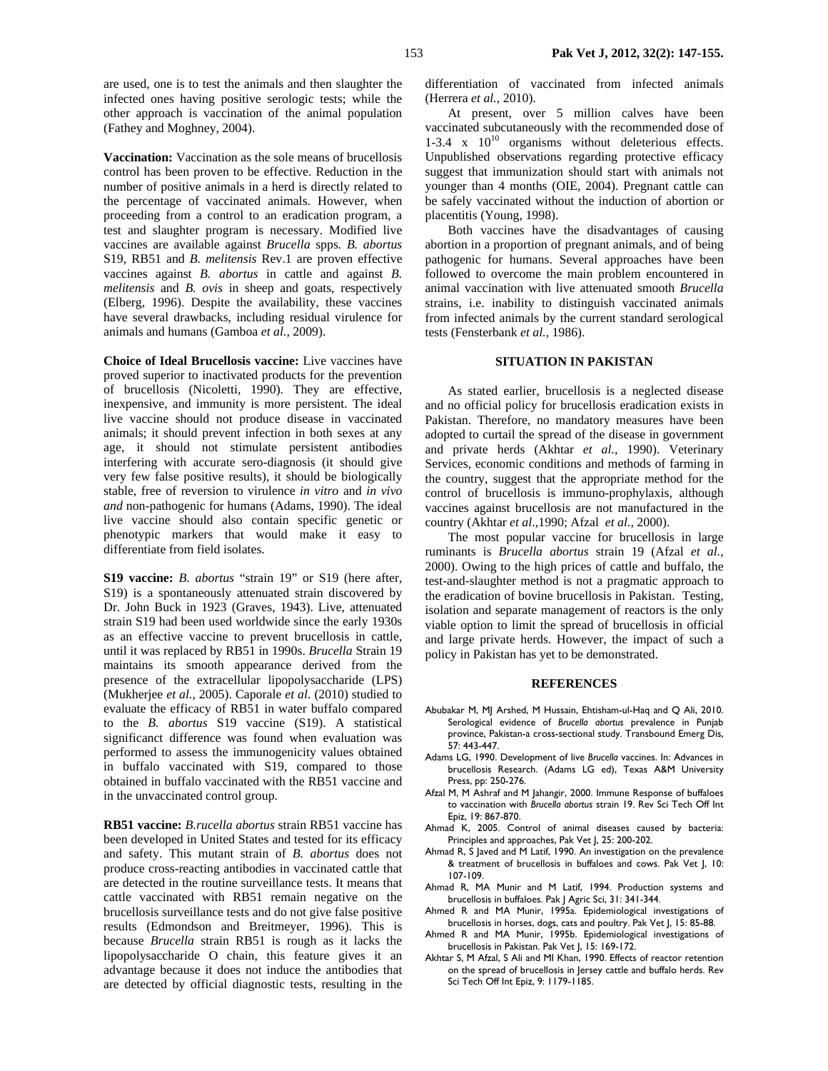are used, one is to test the animals and then slaughter the infected ones having positive serologic tests; while the other approach is vaccination of the animal population (Fathey and Moghney, 2004).

**Vaccination:** Vaccination as the sole means of brucellosis control has been proven to be effective. Reduction in the number of positive animals in a herd is directly related to the percentage of vaccinated animals. However, when proceeding from a control to an eradication program, a test and slaughter program is necessary. Modified live vaccines are available against *Brucella* spps*. B. abortus*  S19, RB51 and *B. melitensis* Rev.1 are proven effective vaccines against *B. abortus* in cattle and against *B. melitensis* and *B. ovis* in sheep and goats, respectively (Elberg, 1996). Despite the availability, these vaccines have several drawbacks, including residual virulence for animals and humans (Gamboa *et al.,* 2009).

**Choice of Ideal Brucellosis vaccine:** Live vaccines have proved superior to inactivated products for the prevention of brucellosis (Nicoletti, 1990). They are effective, inexpensive, and immunity is more persistent. The ideal live vaccine should not produce disease in vaccinated animals; it should prevent infection in both sexes at any age, it should not stimulate persistent antibodies interfering with accurate sero-diagnosis (it should give very few false positive results), it should be biologically stable, free of reversion to virulence *in vitro* and *in vivo and* non-pathogenic for humans (Adams, 1990). The ideal live vaccine should also contain specific genetic or phenotypic markers that would make it easy to differentiate from field isolates.

**S19 vaccine:** *B. abortus* "strain 19" or S19 (here after, S19) is a spontaneously attenuated strain discovered by Dr. John Buck in 1923 (Graves, 1943). Live, attenuated strain S19 had been used worldwide since the early 1930s as an effective vaccine to prevent brucellosis in cattle, until it was replaced by RB51 in 1990s. *Brucella* Strain 19 maintains its smooth appearance derived from the presence of the extracellular lipopolysaccharide (LPS) (Mukherjee *et al.,* 2005). Caporale *et al.* (2010) studied to evaluate the efficacy of RB51 in water buffalo compared to the *B. abortus* S19 vaccine (S19). A statistical significanct difference was found when evaluation was performed to assess the immunogenicity values obtained in buffalo vaccinated with S19, compared to those obtained in buffalo vaccinated with the RB51 vaccine and in the unvaccinated control group.

**RB51 vaccine:** *B.rucella abortus* strain RB51 vaccine has been developed in United States and tested for its efficacy and safety. This mutant strain of *B. abortus* does not produce cross-reacting antibodies in vaccinated cattle that are detected in the routine surveillance tests. It means that cattle vaccinated with RB51 remain negative on the brucellosis surveillance tests and do not give false positive results (Edmondson and Breitmeyer, 1996). This is because *Brucella* strain RB51 is rough as it lacks the lipopolysaccharide O chain, this feature gives it an advantage because it does not induce the antibodies that are detected by official diagnostic tests, resulting in the

differentiation of vaccinated from infected animals (Herrera *et al.,* 2010).

At present, over 5 million calves have been vaccinated subcutaneously with the recommended dose of 1-3.4 x  $10^{10}$  organisms without deleterious effects. Unpublished observations regarding protective efficacy suggest that immunization should start with animals not younger than 4 months (OIE, 2004). Pregnant cattle can be safely vaccinated without the induction of abortion or placentitis (Young, 1998).

Both vaccines have the disadvantages of causing abortion in a proportion of pregnant animals, and of being pathogenic for humans. Several approaches have been followed to overcome the main problem encountered in animal vaccination with live attenuated smooth *Brucella*  strains, i.e. inability to distinguish vaccinated animals from infected animals by the current standard serological tests (Fensterbank *et al.,* 1986).

## **SITUATION IN PAKISTAN**

As stated earlier, brucellosis is a neglected disease and no official policy for brucellosis eradication exists in Pakistan. Therefore, no mandatory measures have been adopted to curtail the spread of the disease in government and private herds (Akhtar *et al.,* 1990). Veterinary Services, economic conditions and methods of farming in the country, suggest that the appropriate method for the control of brucellosis is immuno-prophylaxis, although vaccines against brucellosis are not manufactured in the country (Akhtar *et al.,*1990; Afzal *et al.,* 2000).

The most popular vaccine for brucellosis in large ruminants is *Brucella abortus* strain 19 (Afzal *et al.,* 2000). Owing to the high prices of cattle and buffalo, the test-and-slaughter method is not a pragmatic approach to the eradication of bovine brucellosis in Pakistan. Testing, isolation and separate management of reactors is the only viable option to limit the spread of brucellosis in official and large private herds. However, the impact of such a policy in Pakistan has yet to be demonstrated.

#### **REFERENCES**

- Abubakar M, MJ Arshed, M Hussain, Ehtisham-ul-Haq and Q Ali, 2010. Serological evidence of *Brucella abortus* prevalence in Punjab province, Pakistan-a cross-sectional study. Transbound Emerg Dis, 57: 443-447.
- Adams LG, 1990. Development of live *Brucella* vaccines. In: Advances in brucellosis Research. (Adams LG ed), Texas A&M University Press, pp: 250-276.
- Afzal M, M Ashraf and M Jahangir, 2000. Immune Response of buffaloes to vaccination with *Brucella abortus* strain 19. Rev Sci Tech Off Int Epiz, 19: 867-870.
- Ahmad K, 2005. Control of animal diseases caused by bacteria: Principles and approaches, Pak Vet J, 25: 200-202.
- Ahmad R, S Javed and M Latif, 1990. An investigation on the prevalence & treatment of brucellosis in buffaloes and cows. Pak Vet J, 10: 107-109.
- Ahmad R, MA Munir and M Latif, 1994. Production systems and brucellosis in buffaloes. Pak J Agric Sci, 31: 341-344.
- Ahmed R and MA Munir, 1995a. Epidemiological investigations of brucellosis in horses, dogs, cats and poultry. Pak Vet J, 15: 85-88.
- Ahmed R and MA Munir, 1995b. Epidemiological investigations of brucellosis in Pakistan. Pak Vet J, 15: 169-172.
- Akhtar S, M Afzal, S Ali and MI Khan, 1990. Effects of reactor retention on the spread of brucellosis in Jersey cattle and buffalo herds. Rev Sci Tech Off Int Epiz, 9: 1179-1185.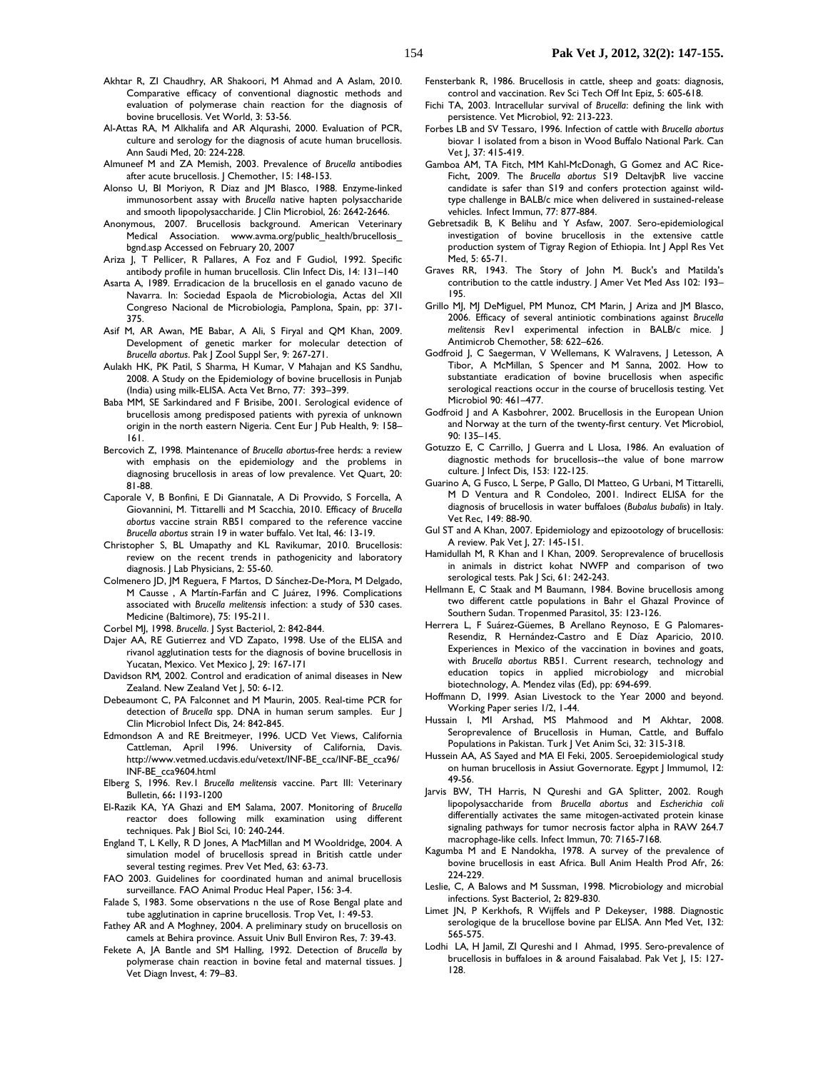- Akhtar R, ZI Chaudhry, AR Shakoori, M Ahmad and A Aslam, 2010. Comparative efficacy of conventional diagnostic methods and evaluation of polymerase chain reaction for the diagnosis of bovine brucellosis. Vet World, 3: 53-56.
- Al-Attas RA, M Alkhalifa and AR Alqurashi, 2000. Evaluation of PCR, culture and serology for the diagnosis of acute human brucellosis. Ann Saudi Med, 20: 224-228.
- Almuneef M and ZA Memish, 2003. Prevalence of *Brucella* antibodies after acute brucellosis. J Chemother, 15: 148-153.
- Alonso U, BI Moriyon, R Diaz and JM Blasco, 1988. Enzyme-linked immunosorbent assay with *Brucella* native hapten polysaccharide and smooth lipopolysaccharide. J Clin Microbiol, 26: 2642-2646.
- Anonymous, 2007. Brucellosis background. American Veterinary Medical Association. www.avma.org/public\_health/brucellosis bgnd.asp Accessed on February 20, 2007
- Ariza J, T Pellicer, R Pallares, A Foz and F Gudiol, 1992. Specific antibody profile in human brucellosis. Clin Infect Dis, 14: 131–140
- Asarta A, 1989. Erradicacion de la brucellosis en el ganado vacuno de Navarra. In: Sociedad Espaola de Microbiologia, Actas del XII Congreso Nacional de Microbiologia, Pamplona, Spain, pp: 371- 375.
- Asif M, AR Awan, ME Babar, A Ali, S Firyal and QM Khan, 2009. Development of genetic marker for molecular detection of *Brucella abortus*. Pak J Zool Suppl Ser, 9: 267-271.
- Aulakh HK, PK Patil, S Sharma, H Kumar, V Mahajan and KS Sandhu, 2008. A Study on the Epidemiology of bovine brucellosis in Punjab (India) using milk-ELISA. Acta Vet Brno, 77: 393–399.
- Baba MM, SE Sarkindared and F Brisibe, 2001. Serological evidence of brucellosis among predisposed patients with pyrexia of unknown origin in the north eastern Nigeria. Cent Eur J Pub Health, 9: 158– 161.
- Bercovich Z, 1998. Maintenance of *Brucella abortus*-free herds: a review with emphasis on the epidemiology and the problems in diagnosing brucellosis in areas of low prevalence. Vet Quart, 20: 81-88.
- Caporale V, B Bonfini, E Di Giannatale, A Di Provvido, S Forcella, A Giovannini, M. Tittarelli and M Scacchia, 2010. Efficacy of *Brucella abortus* vaccine strain RB51 compared to the reference vaccine *Brucella abortus* strain 19 in water buffalo. Vet Ital, 46: 13-19.
- Christopher S, BL Umapathy and KL Ravikumar, 2010. Brucellosis: review on the recent trends in pathogenicity and laboratory diagnosis. J Lab Physicians, 2: 55-60.
- Colmenero JD, JM Reguera, F Martos, D Sánchez-De-Mora, M Delgado, M Causse , A Martín-Farfán and C Juárez, 1996. Complications associated with *Brucella melitensis* infection: a study of 530 cases. Medicine (Baltimore), 75: 195-211.

Corbel MJ, 1998. *Brucella*. J Syst Bacteriol, 2: 842-844.

- Dajer AA, RE Gutierrez and VD Zapato, 1998. Use of the ELISA and rivanol agglutination tests for the diagnosis of bovine brucellosis in Yucatan, Mexico. Vet Mexico J, 29: 167-171
- Davidson RM*,* 2002. Control and eradication of animal diseases in New Zealand. New Zealand Vet J, 50: 6-12.
- Debeaumont C, PA Falconnet and M Maurin, 2005. Real-time PCR for detection of *Brucella* spp. DNA in human serum samples. Eur J Clin Microbiol Infect Dis*,* 24: 842-845.
- Edmondson A and RE Breitmeyer, 1996. UCD Vet Views, California Cattleman, April 1996. University of California, Davis. http://www.vetmed.ucdavis.edu/vetext/INF-BE\_cca/INF-BE\_cca96/ INF-BE\_cca9604.html
- Elberg S, 1996. Rev.1 *Brucella melitensis* vaccine. Part III: Veterinary Bulletin, 66**:** 1193-1200
- El-Razik KA, YA Ghazi and EM Salama, 2007. Monitoring of *Brucella* reactor does following milk examination using different techniques. Pak J Biol Sci, 10: 240-244.
- England T, L Kelly, R D Jones, A MacMillan and M Wooldridge, 2004. A simulation model of brucellosis spread in British cattle under several testing regimes. Prev Vet Med, 63: 63-73.
- FAO 2003. Guidelines for coordinated human and animal brucellosis surveillance. FAO Animal Produc Heal Paper, 156: 3-4.
- Falade S, 1983. Some observations n the use of Rose Bengal plate and tube agglutination in caprine brucellosis. Trop Vet, 1: 49-53.
- Fathey AR and A Moghney, 2004. A preliminary study on brucellosis on camels at Behira province. Assuit Univ Bull Environ Res, 7: 39-43.
- Fekete A, JA Bantle and SM Halling, 1992. Detection of *Brucella* by polymerase chain reaction in bovine fetal and maternal tissues. J Vet Diagn Invest, 4: 79–83.
- Fensterbank R, 1986. Brucellosis in cattle, sheep and goats: diagnosis, control and vaccination. Rev Sci Tech Off Int Epiz, 5: 605-618.
- Fichi TA, 2003. Intracellular survival of *Brucella*: defining the link with persistence. Vet Microbiol, 92: 213-223.
- Forbes LB and SV Tessaro, 1996. Infection of cattle with *Brucella abortus* biovar 1 isolated from a bison in Wood Buffalo National Park. Can Vet J, 37: 415-419.
- Gamboa AM, TA Fitch, MM Kahl-McDonagh, G Gomez and AC Rice-Ficht, 2009. The *Brucella abortus* S19 DeltavjbR live vaccine candidate is safer than S19 and confers protection against wildtype challenge in BALB/c mice when delivered in sustained-release vehicles. Infect Immun, 77: 877-884.
- Gebretsadik B, K Belihu and Y Asfaw, 2007. Sero-epidemiological investigation of bovine brucellosis in the extensive cattle production system of Tigray Region of Ethiopia. Int J Appl Res Vet Med, 5: 65-71.
- Graves RR, 1943. The Story of John M. Buck's and Matilda's contribution to the cattle industry. J Amer Vet Med Ass 102: 193– 195.
- Grillo MJ, MJ DeMiguel, PM Munoz, CM Marin, J Ariza and JM Blasco, 2006. Efficacy of several antiniotic combinations against *Brucella melitensis* Rev1 experimental infection in BALB/c mice. J Antimicrob Chemother, 58: 622–626.
- Godfroid J, C Saegerman, V Wellemans, K Walravens, J Letesson, A Tibor, A McMillan, S Spencer and M Sanna, 2002. How to substantiate eradication of bovine brucellosis when aspecific serological reactions occur in the course of brucellosis testing. Vet Microbiol 90: 461–477.
- Godfroid J and A Kasbohrer, 2002. Brucellosis in the European Union and Norway at the turn of the twenty-first century. Vet Microbiol, 90: 135–145.
- Gotuzzo E, C Carrillo, J Guerra and L Llosa, 1986. An evaluation of diagnostic methods for brucellosis--the value of bone marrow culture. J Infect Dis*,* 153: 122-125.
- Guarino A, G Fusco, L Serpe, P Gallo, DI Matteo, G Urbani, M Tittarelli, M D Ventura and R Condoleo, 2001. Indirect ELISA for the diagnosis of brucellosis in water buffaloes (*Bubalus bubalis*) in Italy. Vet Rec, 149: 88-90.
- Gul ST and A Khan, 2007. Epidemiology and epizootology of brucellosis: A review. Pak Vet J, 27: 145-151.
- Hamidullah M, R Khan and I Khan, 2009. Seroprevalence of brucellosis in animals in district kohat NWFP and comparison of two serological tests*.* Pak J Sci, 61: 242-243.
- Hellmann E, C Staak and M Baumann, 1984. Bovine brucellosis among two different cattle populations in Bahr el Ghazal Province of Southern Sudan. Tropenmed Parasitol, 35: 123-126.
- Herrera L, F Suárez-Güemes, B Arellano Reynoso, E G Palomares-Resendiz, R Hernández-Castro and E Díaz Aparicio, 2010. Experiences in Mexico of the vaccination in bovines and goats, with *Brucella abortus* RB51. Current research, technology and education topics in applied microbiology and microbial biotechnology, A. Mendez vilas (Ed), pp: 694-699.
- Hoffmann D, 1999. Asian Livestock to the Year 2000 and beyond. Working Paper series 1/2, 1-44.
- Hussain I, MI Arshad, MS Mahmood and M Akhtar, 2008. Seroprevalence of Brucellosis in Human, Cattle, and Buffalo Populations in Pakistan. Turk J Vet Anim Sci, 32: 315-318.
- Hussein AA, AS Sayed and MA El Feki, 2005. Seroepidemiological study on human brucellosis in Assiut Governorate. Egypt J Immumol, 12: 49-56.
- Jarvis BW, TH Harris, N Qureshi and GA Splitter, 2002. Rough lipopolysaccharide from *Brucella abortus* and *Escherichia coli*  differentially activates the same mitogen-activated protein kinase signaling pathways for tumor necrosis factor alpha in RAW 264.7 macrophage-like cells. Infect Immun, 70: 7165-7168.
- Kagumba M and E Nandokha, 1978. A survey of the prevalence of bovine brucellosis in east Africa. Bull Anim Health Prod Afr, 26: 224-229.
- Leslie, C, A Balows and M Sussman, 1998. Microbiology and microbial infections. Syst Bacteriol, 2**:** 829-830.
- Limet JN, P Kerkhofs, R Wijffels and P Dekeyser, 1988. Diagnostic serologique de la brucellose bovine par ELISA. Ann Med Vet, 132: 565-575.
- Lodhi LA, H Jamil, ZI Qureshi and I Ahmad, 1995. Sero-prevalence of brucellosis in buffaloes in & around Faisalabad. Pak Vet J, 15: 127- 128.